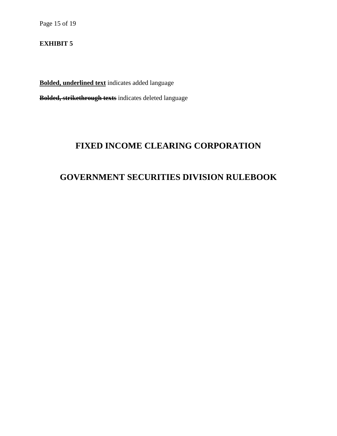Page 15 of 19

## **EXHIBIT 5**

**Bolded, underlined text** indicates added language **Bolded, strikethrough texts** indicates deleted language

## **FIXED INCOME CLEARING CORPORATION**

# **GOVERNMENT SECURITIES DIVISION RULEBOOK**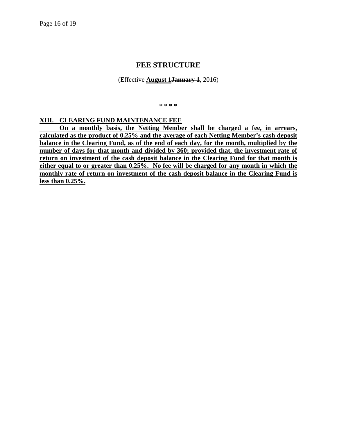## **FEE STRUCTURE**

(Effective **August 1January 1**, 2016)

**\* \* \* \***

## **XIII. CLEARING FUND MAINTENANCE FEE**

**On a monthly basis, the Netting Member shall be charged a fee, in arrears, calculated as the product of 0.25% and the average of each Netting Member's cash deposit balance in the Clearing Fund, as of the end of each day, for the month, multiplied by the number of days for that month and divided by 360; provided that, the investment rate of return on investment of the cash deposit balance in the Clearing Fund for that month is either equal to or greater than 0.25%. No fee will be charged for any month in which the monthly rate of return on investment of the cash deposit balance in the Clearing Fund is less than 0.25%.**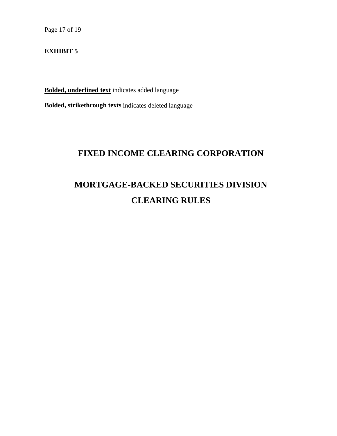Page 17 of 19

### **EXHIBIT 5**

**Bolded, underlined text** indicates added language **Bolded, strikethrough texts** indicates deleted language

# **FIXED INCOME CLEARING CORPORATION**

# **MORTGAGE-BACKED SECURITIES DIVISION CLEARING RULES**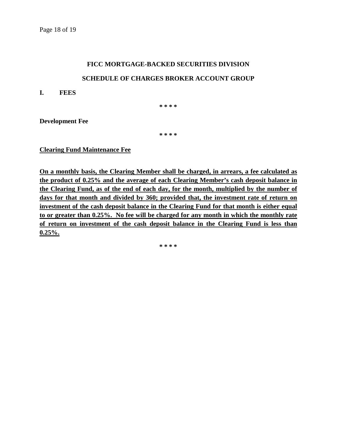### **FICC MORTGAGE-BACKED SECURITIES DIVISION**

### **SCHEDULE OF CHARGES BROKER ACCOUNT GROUP**

**I. FEES**

**\* \* \* \***

**Development Fee**

**\* \* \* \***

**Clearing Fund Maintenance Fee**

**On a monthly basis, the Clearing Member shall be charged, in arrears, a fee calculated as the product of 0.25% and the average of each Clearing Member's cash deposit balance in the Clearing Fund, as of the end of each day, for the month, multiplied by the number of days for that month and divided by 360; provided that, the investment rate of return on investment of the cash deposit balance in the Clearing Fund for that month is either equal to or greater than 0.25%. No fee will be charged for any month in which the monthly rate of return on investment of the cash deposit balance in the Clearing Fund is less than 0.25%.**

**\* \* \* \***